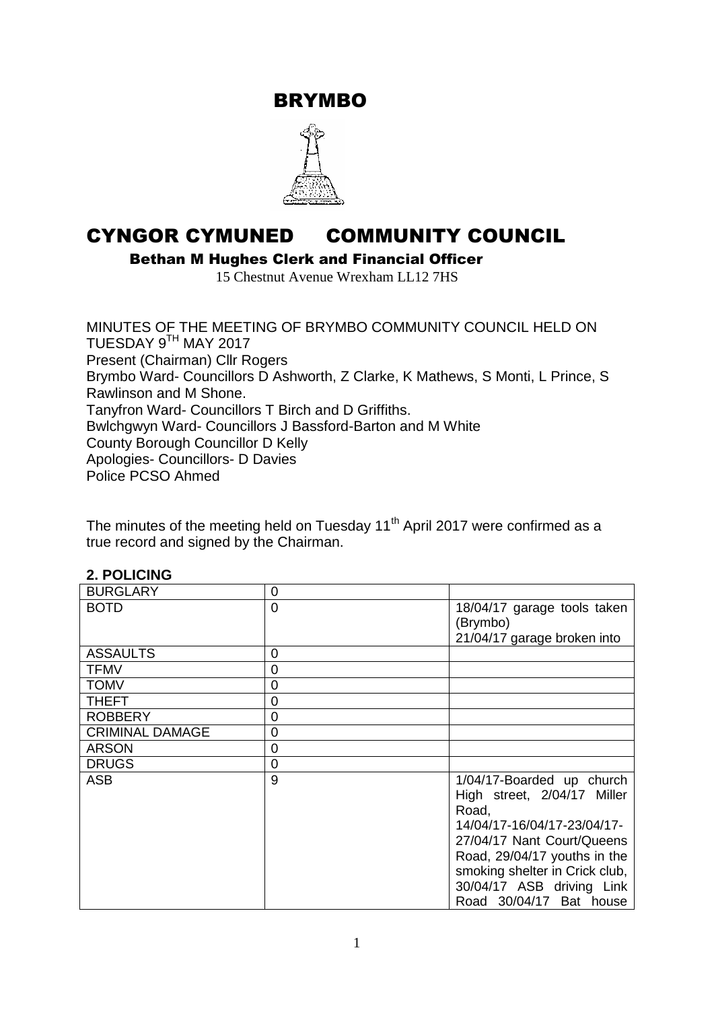BRYMBO



# CYNGOR CYMUNED COMMUNITY COUNCIL

Bethan M Hughes Clerk and Financial Officer

15 Chestnut Avenue Wrexham LL12 7HS

MINUTES OF THE MEETING OF BRYMBO COMMUNITY COUNCIL HELD ON TUESDAY 9TH MAY 2017 Present (Chairman) Cllr Rogers Brymbo Ward- Councillors D Ashworth, Z Clarke, K Mathews, S Monti, L Prince, S Rawlinson and M Shone. Tanyfron Ward- Councillors T Birch and D Griffiths. Bwlchgwyn Ward- Councillors J Bassford-Barton and M White County Borough Councillor D Kelly Apologies- Councillors- D Davies Police PCSO Ahmed

The minutes of the meeting held on Tuesday 11<sup>th</sup> April 2017 were confirmed as a true record and signed by the Chairman.

#### **2. POLICING**

| <b>BURGLARY</b>        | 0 |                                                                                                                                                                                                                                                          |
|------------------------|---|----------------------------------------------------------------------------------------------------------------------------------------------------------------------------------------------------------------------------------------------------------|
| <b>BOTD</b>            | 0 | 18/04/17 garage tools taken<br>(Brymbo)<br>21/04/17 garage broken into                                                                                                                                                                                   |
| <b>ASSAULTS</b>        | 0 |                                                                                                                                                                                                                                                          |
| <b>TFMV</b>            | 0 |                                                                                                                                                                                                                                                          |
| <b>TOMV</b>            | 0 |                                                                                                                                                                                                                                                          |
| <b>THEFT</b>           | 0 |                                                                                                                                                                                                                                                          |
| <b>ROBBERY</b>         | 0 |                                                                                                                                                                                                                                                          |
| <b>CRIMINAL DAMAGE</b> | 0 |                                                                                                                                                                                                                                                          |
| <b>ARSON</b>           | 0 |                                                                                                                                                                                                                                                          |
| <b>DRUGS</b>           | 0 |                                                                                                                                                                                                                                                          |
| <b>ASB</b>             | 9 | 1/04/17-Boarded up church<br>High street, 2/04/17 Miller<br>Road,<br>14/04/17-16/04/17-23/04/17-<br>27/04/17 Nant Court/Queens<br>Road, 29/04/17 youths in the<br>smoking shelter in Crick club,<br>30/04/17 ASB driving Link<br>Road 30/04/17 Bat house |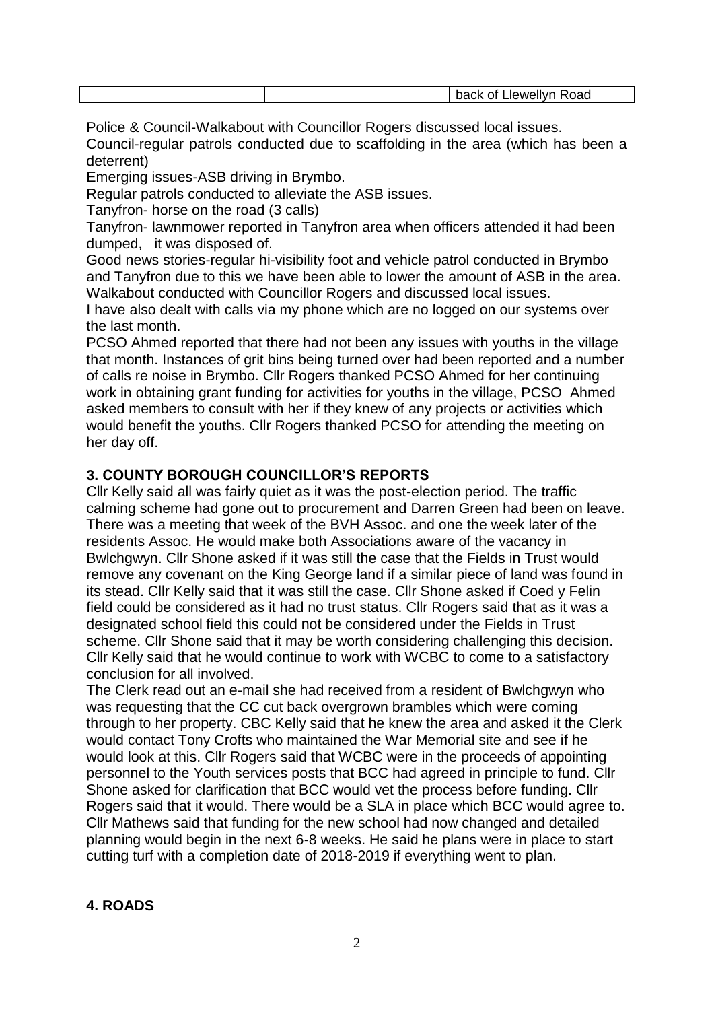| ור<br>א∿י<br>74G<br>''<br>- 53<br>___ |
|---------------------------------------|
|---------------------------------------|

Police & Council-Walkabout with Councillor Rogers discussed local issues.

Council-regular patrols conducted due to scaffolding in the area (which has been a deterrent)

Emerging issues-ASB driving in Brymbo.

Regular patrols conducted to alleviate the ASB issues.

Tanyfron- horse on the road (3 calls)

Tanyfron- lawnmower reported in Tanyfron area when officers attended it had been dumped, it was disposed of.

Good news stories-regular hi-visibility foot and vehicle patrol conducted in Brymbo and Tanyfron due to this we have been able to lower the amount of ASB in the area. Walkabout conducted with Councillor Rogers and discussed local issues.

I have also dealt with calls via my phone which are no logged on our systems over the last month.

PCSO Ahmed reported that there had not been any issues with youths in the village that month. Instances of grit bins being turned over had been reported and a number of calls re noise in Brymbo. Cllr Rogers thanked PCSO Ahmed for her continuing work in obtaining grant funding for activities for youths in the village, PCSO Ahmed asked members to consult with her if they knew of any projects or activities which would benefit the youths. Cllr Rogers thanked PCSO for attending the meeting on her day off.

## **3. COUNTY BOROUGH COUNCILLOR'S REPORTS**

Cllr Kelly said all was fairly quiet as it was the post-election period. The traffic calming scheme had gone out to procurement and Darren Green had been on leave. There was a meeting that week of the BVH Assoc. and one the week later of the residents Assoc. He would make both Associations aware of the vacancy in Bwlchgwyn. Cllr Shone asked if it was still the case that the Fields in Trust would remove any covenant on the King George land if a similar piece of land was found in its stead. Cllr Kelly said that it was still the case. Cllr Shone asked if Coed y Felin field could be considered as it had no trust status. Cllr Rogers said that as it was a designated school field this could not be considered under the Fields in Trust scheme. Cllr Shone said that it may be worth considering challenging this decision. Cllr Kelly said that he would continue to work with WCBC to come to a satisfactory conclusion for all involved.

The Clerk read out an e-mail she had received from a resident of Bwlchgwyn who was requesting that the CC cut back overgrown brambles which were coming through to her property. CBC Kelly said that he knew the area and asked it the Clerk would contact Tony Crofts who maintained the War Memorial site and see if he would look at this. Cllr Rogers said that WCBC were in the proceeds of appointing personnel to the Youth services posts that BCC had agreed in principle to fund. Cllr Shone asked for clarification that BCC would vet the process before funding. Cllr Rogers said that it would. There would be a SLA in place which BCC would agree to. Cllr Mathews said that funding for the new school had now changed and detailed planning would begin in the next 6-8 weeks. He said he plans were in place to start cutting turf with a completion date of 2018-2019 if everything went to plan.

## **4. ROADS**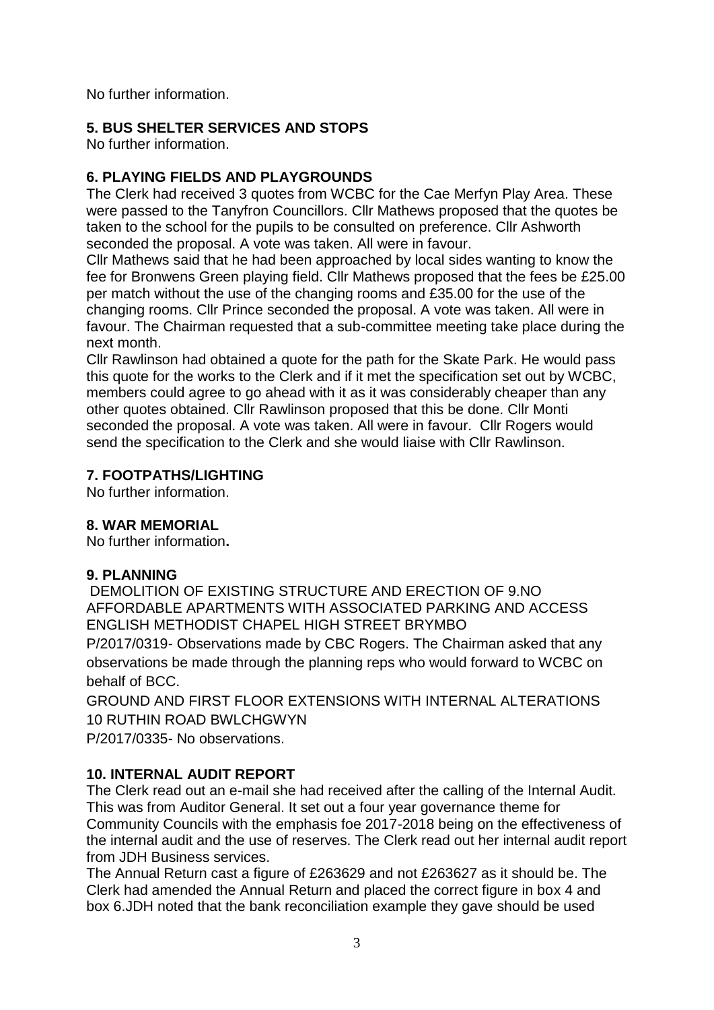No further information.

## **5. BUS SHELTER SERVICES AND STOPS**

No further information.

# **6. PLAYING FIELDS AND PLAYGROUNDS**

The Clerk had received 3 quotes from WCBC for the Cae Merfyn Play Area. These were passed to the Tanyfron Councillors. Cllr Mathews proposed that the quotes be taken to the school for the pupils to be consulted on preference. Cllr Ashworth seconded the proposal. A vote was taken. All were in favour.

Cllr Mathews said that he had been approached by local sides wanting to know the fee for Bronwens Green playing field. Cllr Mathews proposed that the fees be £25.00 per match without the use of the changing rooms and £35.00 for the use of the changing rooms. Cllr Prince seconded the proposal. A vote was taken. All were in favour. The Chairman requested that a sub-committee meeting take place during the next month.

Cllr Rawlinson had obtained a quote for the path for the Skate Park. He would pass this quote for the works to the Clerk and if it met the specification set out by WCBC, members could agree to go ahead with it as it was considerably cheaper than any other quotes obtained. Cllr Rawlinson proposed that this be done. Cllr Monti seconded the proposal. A vote was taken. All were in favour. Cllr Rogers would send the specification to the Clerk and she would liaise with Cllr Rawlinson.

## **7. FOOTPATHS/LIGHTING**

No further information.

## **8. WAR MEMORIAL**

No further information**.** 

## **9. PLANNING**

DEMOLITION OF EXISTING STRUCTURE AND ERECTION OF 9.NO AFFORDABLE APARTMENTS WITH ASSOCIATED PARKING AND ACCESS ENGLISH METHODIST CHAPEL HIGH STREET BRYMBO

P/2017/0319- Observations made by CBC Rogers. The Chairman asked that any observations be made through the planning reps who would forward to WCBC on behalf of BCC.

GROUND AND FIRST FLOOR EXTENSIONS WITH INTERNAL ALTERATIONS 10 RUTHIN ROAD BWLCHGWYN

P/2017/0335- No observations.

# **10. INTERNAL AUDIT REPORT**

The Clerk read out an e-mail she had received after the calling of the Internal Audit. This was from Auditor General. It set out a four year governance theme for Community Councils with the emphasis foe 2017-2018 being on the effectiveness of the internal audit and the use of reserves. The Clerk read out her internal audit report from JDH Business services.

The Annual Return cast a figure of £263629 and not £263627 as it should be. The Clerk had amended the Annual Return and placed the correct figure in box 4 and box 6.JDH noted that the bank reconciliation example they gave should be used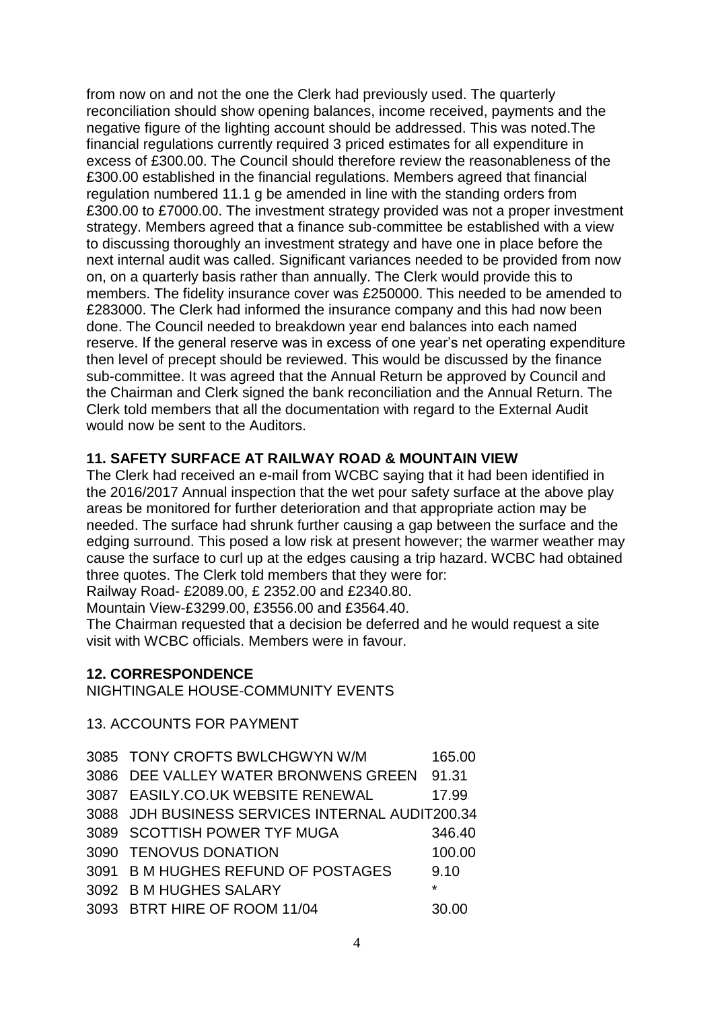from now on and not the one the Clerk had previously used. The quarterly reconciliation should show opening balances, income received, payments and the negative figure of the lighting account should be addressed. This was noted.The financial regulations currently required 3 priced estimates for all expenditure in excess of £300.00. The Council should therefore review the reasonableness of the £300.00 established in the financial regulations. Members agreed that financial regulation numbered 11.1 g be amended in line with the standing orders from £300.00 to £7000.00. The investment strategy provided was not a proper investment strategy. Members agreed that a finance sub-committee be established with a view to discussing thoroughly an investment strategy and have one in place before the next internal audit was called. Significant variances needed to be provided from now on, on a quarterly basis rather than annually. The Clerk would provide this to members. The fidelity insurance cover was £250000. This needed to be amended to £283000. The Clerk had informed the insurance company and this had now been done. The Council needed to breakdown year end balances into each named reserve. If the general reserve was in excess of one year's net operating expenditure then level of precept should be reviewed. This would be discussed by the finance sub-committee. It was agreed that the Annual Return be approved by Council and the Chairman and Clerk signed the bank reconciliation and the Annual Return. The Clerk told members that all the documentation with regard to the External Audit would now be sent to the Auditors.

#### **11. SAFETY SURFACE AT RAILWAY ROAD & MOUNTAIN VIEW**

The Clerk had received an e-mail from WCBC saying that it had been identified in the 2016/2017 Annual inspection that the wet pour safety surface at the above play areas be monitored for further deterioration and that appropriate action may be needed. The surface had shrunk further causing a gap between the surface and the edging surround. This posed a low risk at present however; the warmer weather may cause the surface to curl up at the edges causing a trip hazard. WCBC had obtained three quotes. The Clerk told members that they were for:

Railway Road- £2089.00, £ 2352.00 and £2340.80.

Mountain View-£3299.00, £3556.00 and £3564.40.

The Chairman requested that a decision be deferred and he would request a site visit with WCBC officials. Members were in favour.

#### **12. CORRESPONDENCE**

NIGHTINGALE HOUSE-COMMUNITY EVENTS

13. ACCOUNTS FOR PAYMENT

| 3085 TONY CROFTS BWLCHGWYN W/M                  | 165.00  |
|-------------------------------------------------|---------|
| 3086 DEE VALLEY WATER BRONWENS GREEN            | 91.31   |
| 3087 EASILY.CO.UK WEBSITE RENEWAL               | 17.99   |
| 3088 JDH BUSINESS SERVICES INTERNAL AUDIT200.34 |         |
| 3089 SCOTTISH POWER TYF MUGA                    | 346.40  |
| 3090 TENOVUS DONATION                           | 100.00  |
| 3091 B M HUGHES REFUND OF POSTAGES              | 9.10    |
| 3092 B M HUGHES SALARY                          | $\star$ |
| 3093 BTRT HIRE OF ROOM 11/04                    | 30.00   |